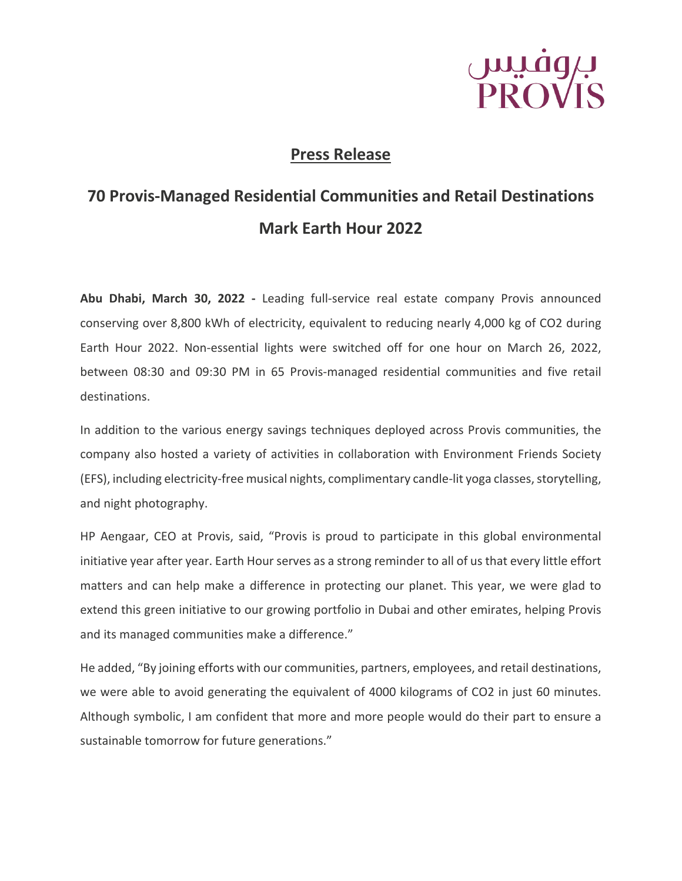

## **Press Release**

## **70 Provis-Managed Residential Communities and Retail Destinations Mark Earth Hour 2022**

**Abu Dhabi, March 30, 2022 -** Leading full-service real estate company Provis announced conserving over 8,800 kWh of electricity, equivalent to reducing nearly 4,000 kg of CO2 during Earth Hour 2022. Non-essential lights were switched off for one hour on March 26, 2022, between 08:30 and 09:30 PM in 65 Provis-managed residential communities and five retail destinations.

In addition to the various energy savings techniques deployed across Provis communities, the company also hosted a variety of activities in collaboration with Environment Friends Society (EFS), including electricity-free musical nights, complimentary candle-lit yoga classes, storytelling, and night photography.

HP Aengaar, CEO at Provis, said, "Provis is proud to participate in this global environmental initiative year after year. Earth Hour serves as a strong reminder to all of us that every little effort matters and can help make a difference in protecting our planet. This year, we were glad to extend this green initiative to our growing portfolio in Dubai and other emirates, helping Provis and its managed communities make a difference."

He added, "By joining efforts with our communities, partners, employees, and retail destinations, we were able to avoid generating the equivalent of 4000 kilograms of CO2 in just 60 minutes. Although symbolic, I am confident that more and more people would do their part to ensure a sustainable tomorrow for future generations."